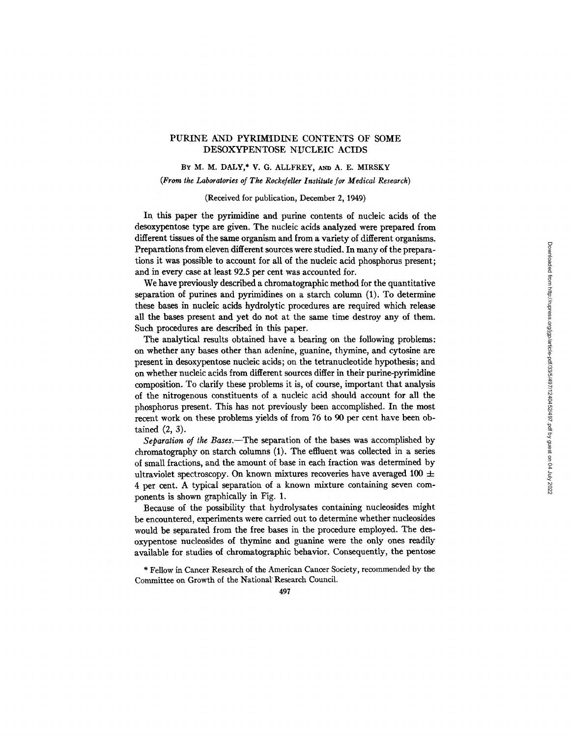# PURINE AND PYRIMIDINE CONTENTS OF SOME DESOXYPENTOSE NUCLEIC ACIDS

BY M. M. DALY,\* V. G. ALLFREY, AND A. E. MIRSKY

## *(From the Laboratories of The Rockefeller Institute for Medical Research)*

# (Received for publication, December 2, 1949)

In this paper the pyrimidine and purine contents of nucleic acids of the desoxypentose type are given. The nucleic acids analyzed were prepared from different tissues of the same organism and from a variety of different organisms. Preparations from eleven different sources were studied. In many of the preparations it was possible to account for all of the nucleic acid phosphorus present; and in every case at least 92.5 per cent was accounted for.

We have previously described a chromatographic method for the quantitative separation of purines and pyrimidines on a starch column (1). To determine these bases in nucleic acids hydrolytic procedures are required which release all the bases present and yet do not at the same time destroy any of them. Such procedures are described in this paper.

The analytical results obtained have a bearing on the following problems: on whether any bases other than adenine, guanine, thymine, and cytosine are present in desoxypentose nucleic acids; on the tetranucleotide hypothesis; and on whether nucleic acids from different sources differ in their purine-pyrimidine composition. To clarify these problems it is, of course, important that analysis of the nitrogenous constituents of a nucleic acid should account for all the phosphorus present. This has not previously been accomplished. In the most recent work on these problems yields of from 76 to 90 per cent have been obtained (2, 3).

*Separation of the Bases.--The* separation of the bases was accomplished by chromatography on starch columns (1). The effluent was collected in a series of small fractions, and the amount of base in each fraction was determined by ultraviolet spectroscopy. On known mixtures recoveries have averaged 100  $\pm$ 4 per cent. A typical separation of a known mixture containing seven components is shown graphically in Fig. 1.

Because of the possibility that hydrolysates containing nucleosides might be encountered, experiments were carried out to determine whether nucleosides would be separated from the free bases in the procedure employed. The desoxypentose nucleosides of thymine and guanine were the only ones readily available for studies of chromatographic behavior. Consequently, the pentose

\* Fellow in Cancer Research of the American Cancer Society, recommended by the Committee on Growth of the National' Research Council

497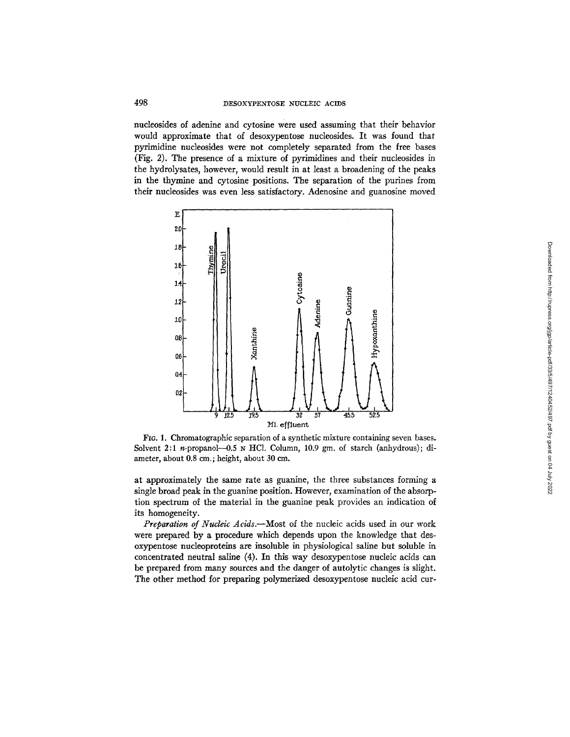nucleosides of adenine and cytosine were used assuming that their behavior would approximate that of desoxypentose nucleosides. It was found that pyrimidine nucleosides were not completely separated from the free bases (Fig. 2). The presence of a mixture of pyrimidines and their nucleosides in the hydrolysates, however, would result in at least a broadening of the peaks in the thymine and cytosine positions. The separation of the purines from their nucleosides was even less satisfactory. Adenosine and guanosine moved



FIG. 1. Chromatographic separation of a synthetic mixture containing seven bases. Solvent 2:1 n-propanol- $-0.5$   $\mu$  HCl. Column, 10.9 gm. of starch (anhydrous); diameter, about 0.8 cm.; height, about 30 cm.

at approximately the same rate as guanine, the three substances forming a single broad peak in the guanine position. However, examination of the absorption spectrum of the material in the guanine peak provides an indication of its homogeneity.

*Preparation of Nucleic Acids.--Most* of the nucleic acids used in our work were prepared by a procedure which depends upon the knowledge that desoxypentose nucleoproteins are insoluble in physiological saline but soluble in concentrated neutral saline (4). In this way desoxypentose nucleic acids can be prepared from many sources and the danger of autolytic changes is slight. The other method for preparing polymerized desoxypentose nucleic acid cur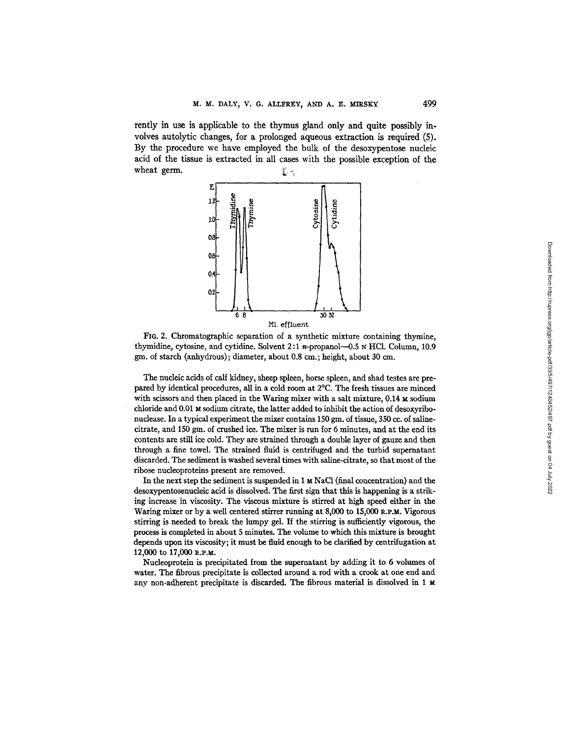rently in use is applicable to the thymus gland only and quite possibly involves autolytic changes, for a prolonged aqueous extraction is required (5). By the procedure we have employed the bulk of the desoxypentose nucleic acid of the tissue is extracted in all cases with the possible exception of the wheat germ.



FIG. 2. Chromatographic separation of a synthetic mixture containing thymine, thymidine, cytosine, and cytidine. Solvent  $2:1$  n-propanol--0.5 N HCl. Column, 10.9 gm. of starch (anhydrous); diameter, about 0.8 cm.; height, about 30 cm.

The nucleic acids of calf kidney, sheep spleen, horse spleen, and shad testes are prepared by identical procedures, all in a cold room at 2°C. The fresh tissues are minced with scissors and then placed in the Waring mixer with a salt mixture,  $0.14 \text{ m}$  sodium chloride and 0.01  $M$  sodium citrate, the latter added to inhibit the action of desoxyribonuclease. In a typical experiment the mixer contains 150 gm. of tissue, 350 cc. of salinecitrate, and 150 gm. of crushed ice. The mixer is run for 6 minutes, and at the end its contents are still ice cold. They are strained through a double layer of gauze and then through a fine towel. The strained fluid is centrifuged and the turbid supernatant discarded. The sediment is washed several times with saline-citrate, so that most of the ribose nucleoproteins present are removed.

In the next step the sediment is suspended in  $1 \text{ m NaCl}$  (final concentration) and the desoxypentosenucleic acid is dissolved. The first sign that this is happening is a striking increase in viscosity. The viscous mixture is stirred at high speed either in the Waring mixer or by a well centered stirrer running at  $8,000$  to  $15,000$  R.P.M. Vigorous stirring is needed to break the lumpy gel. If the stirring is sufficiently vigorous, the process is completed in about 5 minutes. The volume to which this mixture is brought depends upon its viscosity; it must be fluid enough to be clarified by centrifugation at 12,000 to 17,000 R.P.M.

Nucleoprotein is precipitated from the supernatant by adding it to 6 volumes of water. The fibrous precipitate is collected around a rod with a crook at one end and any non-adherent precipitate is discarded. The fibrous material is dissolved in 1  $\boldsymbol{\mu}$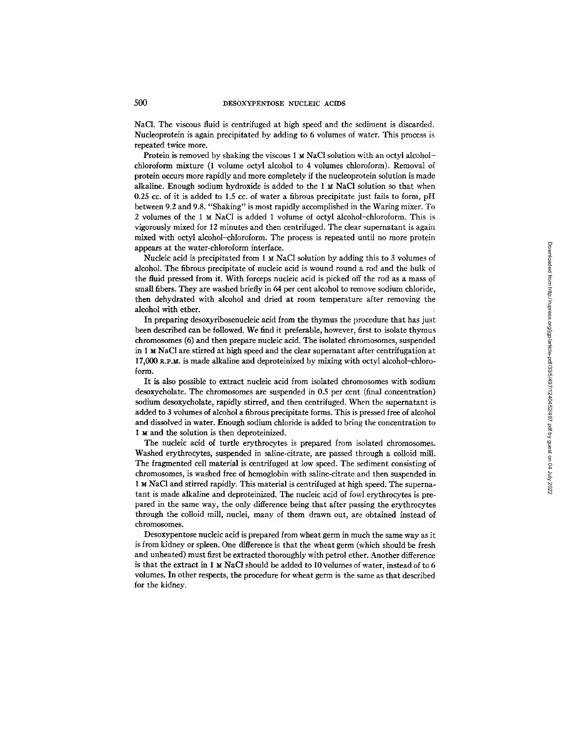NaCI. The viscous fluid is centrifuged at high speed and the sediment is discarded. Nucleoprotein is again precipitated by adding to 6 volumes of water. This process is repeated twice more.

Protein is removed by shaking the viscous  $1 \times NaCl$  solution with an octyl alcoholchloroform mixture (1 volume octyl alcohol to 4 volumes chloroform). Removal of protein occurs more rapidly and more completely if the nucleoprotein solution is made alkaline. Enough sodium hydroxide is added to the  $1 \text{ M }$  NaCl solution so that when 0.25 cc. of it is added to 1.5 cc. of water a fibrous precipitate just fails to form, pH between 9.2 and 9.8. "Shaking" is most rapidly accomplished in the Waring mixer. To 2 volumes of the 1  $\times$  NaCl is added 1 volume of octyl alcohol-chloroform. This is vigorously mixed for 12 minutes and then centrifuged. The clear supernatant is again mixed with octyl alcohol-chloroform. The process is repeated until no more protein appears at the water-chloroform interface.

Nucleic acid is precipitated from  $1 \text{ m NaCl}$  solution by adding this to 3 volumes of alcohol. The fibrous precipitate of nucleic acid is wound round a rod and the bulk of the fluid pressed from it. With forceps nucleic acid is picked off the rod as a mass of small fibers. They are washed briefly in 64 per cent alcohol to remove sodium chloride, then dehydrated with alcohol and dried at room temperature after removing the alcohol with ether.

In preparing desoxyribosenucleic acid from the thymus the procedure that has just been described can be followed. We find it preferable, however, first to isolate thymus chromosomes (6) and then prepare nucleic acid. The isolated chromosomes, suspended in 1 M NaC1 are stirred at high speed and the clear supernatanf after centrifugation at  $17,000$  R.P.M. is made alkaline and deproteinized by mixing with octyl alcohol-chloroform.

It is also possible to extract nucleic acid from isolated chromosomes with sodium desoxycholate. The chromosomes are suspended in 0.5 per cent (final concentration) sodium desoxycholate, rapidly stirred, and then centrifuged. When the supernatant is added to 3 volumes of alcohol a fibrous precipitate forms. This is pressed free of alcohol and dissolved in water. Enough sodium chloride is added to bring the concentration to 1 M and the solution is then deproteinized.

The nucleic acid of turtle erythrocytes is prepared from isolated chromosomes. Washed erythrocytes, suspended in saline-citrate, are passed through a colloid mill. The fragmented cell material is centrifuged at low speed. The sediment consisting of chromosomes, is washed free of hemoglobin with saline-citrate and then suspended in 1 u NaC1 and stirred rapidly. This material is centrifuged at high speed. The supernatant is made alkaline and deproteinized. The nucleic acid of fowl erythrocytes is prepared in the same way, the only difference being that after passing the erythrocytes through the colloid mill, nuclei, many of them drawn out, are obtained instead of chromosomes.

Desoxypentose nucleic acid is prepared from wheat germ in much the same way as it is from kidney or spleen. One difference is that the wheat germ (which should be fresh and unheated) must first be extracted thoroughly with petrol ether. Another difference is that the extract in 1  $\le$  NaCl should be added to 10 volumes of water, instead of to 6 volumes. In other respects, the procedure for wheat germ is the same as that described for the kidney.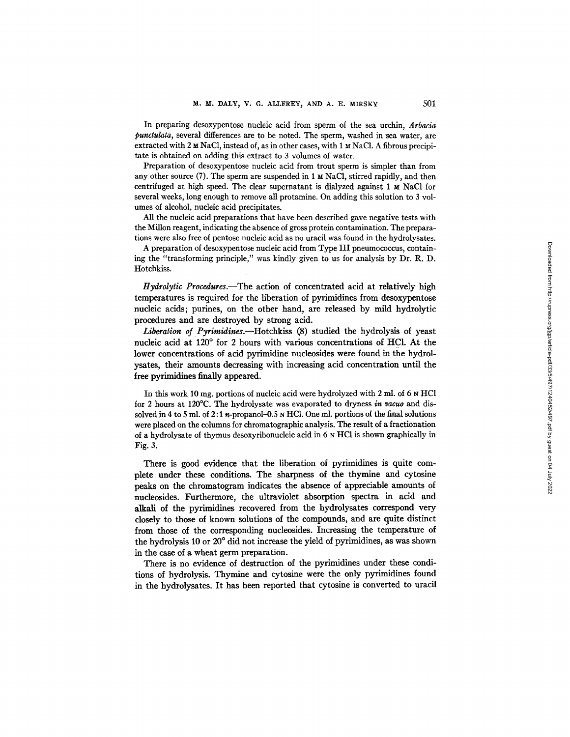In preparing desoxypentose nucleic acid from sperm of the sea urchin, *Arbacia punctulata,* several differences are to be noted. The sperm, washed in sea water, are extracted with 2  $\times$  NaCl, instead of, as in other cases, with 1  $\times$  NaCl. A fibrous precipitate is obtained on adding this extract to 3 volumes of water.

Preparation of desoxypentose nucleic acid from trout sperm is simpler than from any other source  $(7)$ . The sperm are suspended in 1  $\mu$  NaCl, stirred rapidly, and then centrifuged at high speed. The clear supernatant is dialyzed against  $1 ~ M$  NaCl for several weeks, long enough to remove all protamine. On adding this solution to 3 volumes of alcohol, nucleic acid precipitates.

All the nucleic acid preparations that have been described gave negative tests with the MiUon reagent, indicating the absence of gross protein contamination. The preparations were also free of pentose nucleic acid as no uracil was found in the hydrolysates.

A preparation of desoxypentose nucleic acid from Type III pneumococcus, containing the "transforming principle," was kindly given to us for analysis by Dr. R. D. Hotchkiss.

*Hydrolytic Procedures.--The* action of concentrated acid at relatively high temperatures is required for the liberation of pyrimidines from desoxypentose nucleic acids; purines, on the other hand, are released by mild hydrolytic procedures and are destroyed by strong acid.

*Liberation of Pyrimidines.*—Hotchkiss (8) studied the hydrolysis of yeast nucleic acid at 120° for 2 hours with various concentrations of HCl. At the lower concentrations of acid pyrimidine nucleosides were found in the hydrolysates, their amounts decreasing with increasing acid concentration until the free pyrimidines finally appeared.

In this work 10 mg. portions of nucleic acid were hydrolyzed with 2 ml. of 6 N HCl for 2 hours at 120°C. The hydrolysate was evaporated to dryness *in vacuo* and dissolved in 4 to 5 ml. of 2:1 n-propanol-0.5 N HC1. One ml. portions of the final solutions were placed on the columns for chromatographic analysis. The result of a fractionation of a hydrolysate of thymus desoxyribonucleic acid in 6 N HCI is shown graphically in Fig. 3.

There is good evidence that the hberation of pyrimidines is quite complete under these conditions. The sharpness of the thymine and cytosine peaks on the chromatogram indicates the absence of appreciable amounts of nucleosides. Furthermore, the ultraviolet absorption spectra in acid and alkali of the pyrimidines recovered from the hydrolysates correspond very closely to those of known solutions of the compounds, and are quite distinct from those of the corresponding nucleosides. Increasing the temperature of the hydrolysis 10 or  $20^{\circ}$  did not increase the yield of pyrimidines, as was shown in the case of a wheat germ preparation.

There is no evidence of destruction of the pyrimidines under these conditions of hydrolysis. Thymine and cytosine were the only pyrimidines found in the hydrolysates. It has been reported that cytosine is converted to uracil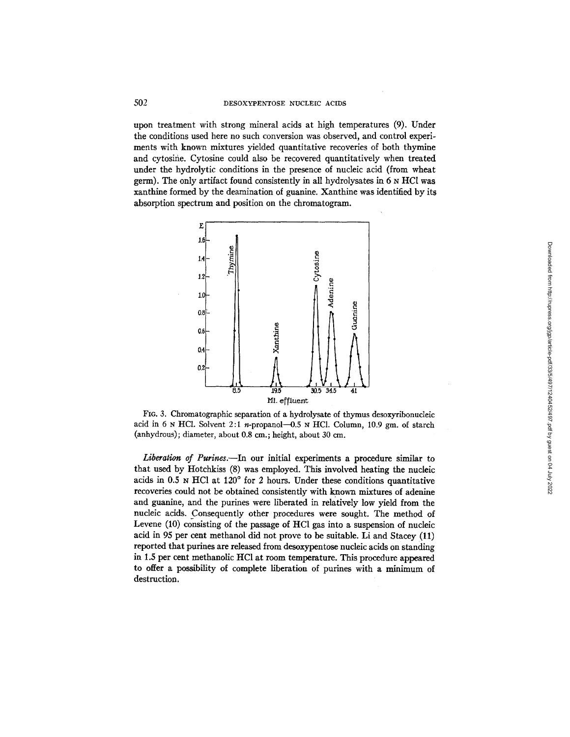upon treatment with strong mineral acids at high temperatures (9). Under the conditions used here no such conversion was observed, and control experiments with known mixtures yielded quantitative recoveries of both thymine and cytosine. Cytosine could also be recovered quantitatively when treated under the hydrolytic conditions in the presence of nucleic acid (from wheat germ). The only artifact found consistently in all hydrolysates in  $6 \times HCl$  was xanthine formed by the deamination of guanine. Xanthine was identified by its absorption spectrum and position on the chromatogram.



FIG. 3. Chromatographic separation of a hydrolysate of thymus desoxyribonucleic acid in 6 N HCl. Solvent 2:1 n-propanol- $-0.5$  N HCl. Column, 10.9 gm. of starch (anhydrous); diameter, about 0.8 cm.; height, about 30 cm.

Liberation of Purines.--In our initial experiments a procedure similar to that used by ttotchkiss (8) was employed. This involved heating the nucleic acids in  $0.5$  N HCl at  $120^{\circ}$  for 2 hours. Under these conditions quantitative recoveries could not be obtained consistently with known mixtures of adenine and guanine, and the purines were liberated in relatively low yield from the nucleic acids. Consequently other procedures were sought. The method of Levene (10) consisting of the passage of HC1 gas into a suspension of nucleic acid in 95 per cent methanol did not prove to be suitable. Li and Stacey (11) reported that purines are released from desoxypentose nucleic acids on standing in 1.5 per cent methanolic HC1 at room temperature. This procedure appeared to offer a possibility of complete liberation of purines with a minimum of destruction.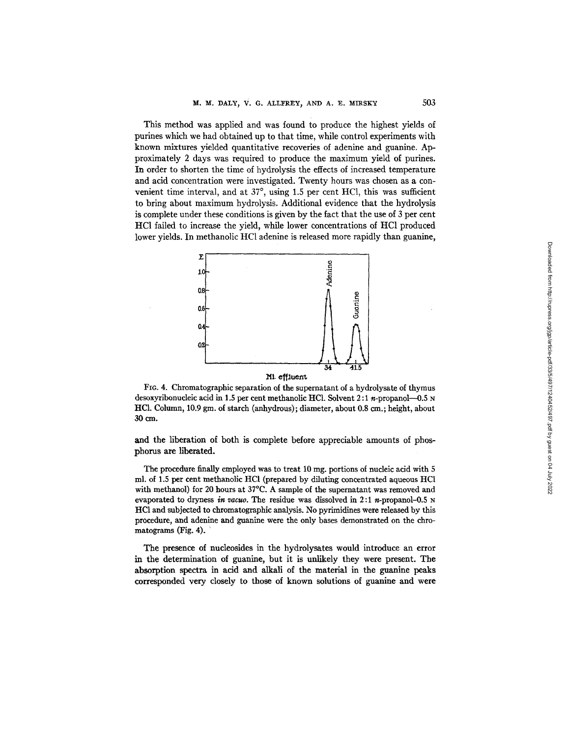This method was applied and was found to produce the highest yields of purines which we had obtained up to that time, while control experiments with known mixtures yielded quantitative recoveries of adenine and guanine. Approximately 2 days was required to produce the maximum yield of purines. In order to shorten the time of hydrolysis the effects of increased temperature and acid concentration were investigated. Twenty hours was chosen as a convenient time interval, and at  $37^{\circ}$ , using 1.5 per cent HCl, this was sufficient to bring about maximum hydrolysis. Additional evidence that the hydrolysis is complete under these conditions is given by the fact that the use of 3 per cent HC1 failed to increase the yield, while lower concentrations of HC1 produced lower yields. In methanolic HC1 adenine is released more rapidly than guanine,



FIG. 4. Chromatographic separation of the supernatant of a hydrolysate of thymus desoxyribonucleic acid in 1.5 per cent methanolic HCl. Solvent  $2:1$  n-propanol-0.5 N HCl. Column, 10.9 gm. of starch (anhydrous); diameter, about 0.8 cm.; height, about :30 era.

and the liberation of both is complete before appreciable amounts of phosphorus are liberated.

The procedure finally employed was to treat 10 mg. portions of nucleic acid with 5 ml. of 1.5 per cent methanolic HC1 (prepared by diluting concentrated aqueous HC1 with methanol) for 20 hours at 37°C. A sample of the supernatant was removed and evaporated to dryness *in vacuo*. The residue was dissolved in 2:1 *n*-propanol-0.5 N HC1 and subjected to chromatographic analysis. No pyrimidines were released by this procedure, and adenine and guanine were the only bases demonstrated on the chromatograms (Fig. 4).

The presence of nucleosides in the hydrolysates would introduce an error in the determination of guanine, but it is unlikely they were present. The absorption spectra in acid and alkali of the material in the guanine peaks corresponded very closely to those of known solutions of guanine and were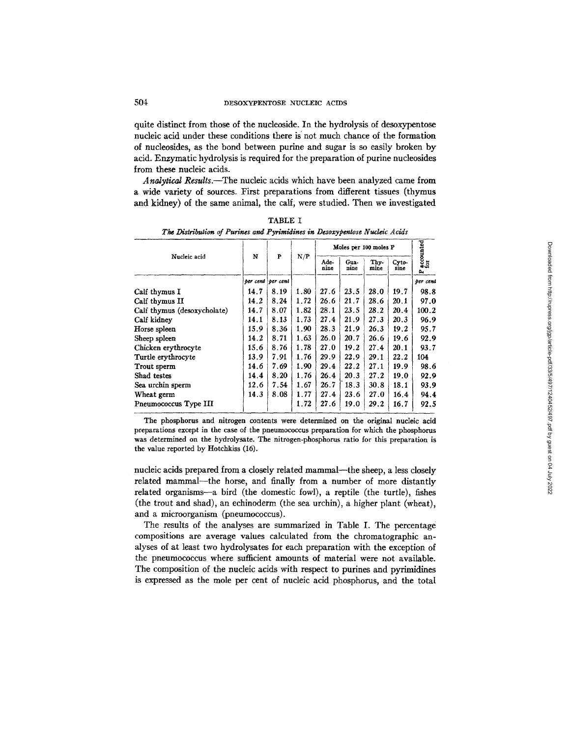quite distinct from those of the nucleoside. In the hydrolysis of desoxypentose nucleic acid under these conditions there is' not much chance of the formation of nucleosides, as the bond between purine and sugar is so easily broken by acid. Enzymatic hydrolysis is required for the preparation of purine nucleosides from these nucleic acids.

*Analytical Results.--The* nucleic acids which have been analyzed came from a wide variety of sources. First preparations from different tissues (thymus and kidney) of the same animal, the calf, were studied. Then we investigated

| Nucleic acid                |      | $\mathbf{P}$      | N/P  | Moles per 100 moles P |              |              |               | accounted<br>for |
|-----------------------------|------|-------------------|------|-----------------------|--------------|--------------|---------------|------------------|
|                             | N    |                   |      | Ade-<br>nine          | Gua-<br>nine | Thy-<br>mine | Cyto-<br>sine | a,               |
|                             |      | per cent per cent |      |                       |              |              |               | per cent         |
| Calf thymus I               | 14.7 | 8.19              | 1.80 | 27.6                  | 23.5         | 28.0         | 19.7          | 98.8             |
| Calf thymus II              | 14.2 | 8.24              | 1.72 | 26.6                  | 21.7         | 28.6         | 20.1          | 97.0             |
| Calf thymus (desoxycholate) | 14.7 | 8.07              | 1.82 | 28.1                  | 23.5         | 28.2         | 20.4          | 100.2            |
| Calf kidney                 | 14.1 | 8.13              | 1.73 | 27.4                  | 21.9         | 27.3         | 20.3          | 96.9             |
| Horse spleen                | 15.9 | 8.36              | 1.90 | 28.3                  | 21.9         | 26.3         | 19.2          | 95.7             |
| Sheep spleen                | 14.2 | 8.71              | 1.63 | 26.0                  | 20.7         | 26.6         | 19.6          | 92.9             |
| Chicken erythrocyte         | 15.6 | 8.76              | 1.78 | 27.0                  | 19.2         | 27.4         | 20.1          | 93.7             |
| Turtle erythrocyte          | 13.9 | 7.91              | 1.76 | 29.9                  | 22.9         | 29.1         | 22.2          | 104              |
| Trout sperm                 | 14.6 | 7.69              | 1.90 | 29.4                  | 22.2         | 27.1         | 19.9          | 98.6             |
| Shad testes                 | 14.4 | 8.20              | 1.76 | 26.4                  | 20.3         | 27.2         | 19.0          | 92.9             |
| Sea urchin sperm            | 12.6 | 7.54              | 1.67 | 26.7                  | 18.3         | 30.8         | 18.1          | 93.9             |
| Wheat germ                  | 14.3 | 8.08              | 1.77 | 27.4                  | 23.6         | 27.0         | 16.4          | 94.4             |
| Pneumococcus Type III       |      |                   | 1.72 | 27.6                  | 19.0         | 29.2         | 16.7          | 92.5             |

TABLE I *The Distribution of Purines and Pyriraidines in Desoxypentose Nucleic Acids* 

The phosphorus and nitrogen contents were determined on the original nucleic acid preparations except in the case of the pneumococcus preparation for which the phosphorus was determined on the hydrolysate. The nitrogen-phosphorus ratio for this preparation is the value reported by Hotchkiss (16).

nucleic acids prepared from a closely related mammal--the sheep, a less closely related mammal--the horse, and finally from a number of more distantly related organisms--a bird (the domestic fowl), a reptile (the turtle), fishes (the trout and shad), an echinoderm (the sea urchin), a higher plant (wheat), and a microorganism (pneumococcus).

The results of the analyses are summarized in Table I. The percentage compositions are average values calculated from the chromatographic analyses of at least two hydrolysates for each preparation with the exception of the pneumococcus where sufficient amounts of material were not available. The composition of the nucleic acids with respect to purines and pyrimidines is expressed as the mole per cent of nucleic acid phosphorus, and the total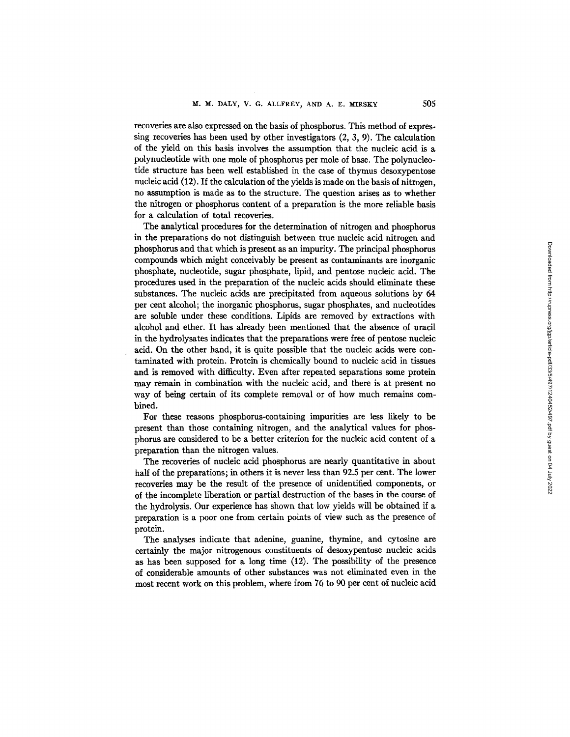recoveries are also expressed on the basis of phosphorus. This method of expressing recoveries has been used by other investigators (2, 3, 9). The calculation of the yield on this basis involves the assumption that the nucleic acid is a polynucleotide with one mole of phosphorus per mole of base. The polynucleotide structure has been weU established in the case of thymus desoxypentose nucleic acid (12). If the calculation of the yields is made on the basis of nitrogen, no assumption is made as to the structure. The question arises as to whether the nitrogen or phosphorus content of a preparation is the more reliable basis for a calculation of total recoveries.

The analytical procedures for the determination of nitrogen and phosphorus in the preparations do not distinguish between true nucleic acid nitrogen and phosphorus and that which is present as an impurity. The principal phosphorus compounds which might conceivably be present as contaminants are inorganic phosphate, nucleotide, sugar phosphate, lipid, and pentose nucleic acid. The procedures used in the preparation of the nucleic acids should eliminate these substances. The nucleic acids are precipitated from aqueous solutions by 64 per cent alcohol; the inorganic phosphorus, sugar phosphates, and nucleotides are soluble under these conditions. Lipids are removed by extractions with alcohol and ether. It has already been mentioned that the absence of uracil in the hydrolysates indicates that the preparations were free of pentose nucleic acid. On the other hand, it is quite possible that the nucleic acids were contaminated with protein. Protein is chemically bound to nucleic acid in tissues and is removed with difficulty. Even after repeated separations some protein may remain in combination with the nucleic acid, and there is at present no way of being certain of its complete removal or of how much remains combined.

For these reasons phosphorus-containing impurities are less likely to be present than those containing nitrogen, and the analytical values for phosphorus are considered to be a better criterion for the nucleic acid content of a preparation than the nitrogen values.

The recoveries of nucleic acid phosphorus are nearly quantitative in about half of the preparations; in others it is never less than 92.5 per cent. The lower recoveries may be the result of the presence of unidentified components, or of the incomplete liberation or partial destruction of the bases in the course of the hydrolysis. Our experience has shown that low yields will be obtained if a preparation is a poor one from certain points of view such as the presence of protein.

The analyses indicate that adenine, guanine, thymine, and cytosine are certainly the major nitrogenous constituents of desoxypentose nucleic acids as has been supposed for a long time (12). The possibility of the presence of considerable amounts of other substances was not eliminated even in the most recent work on this problem, where from 76 to 90 per cent of nucleic acid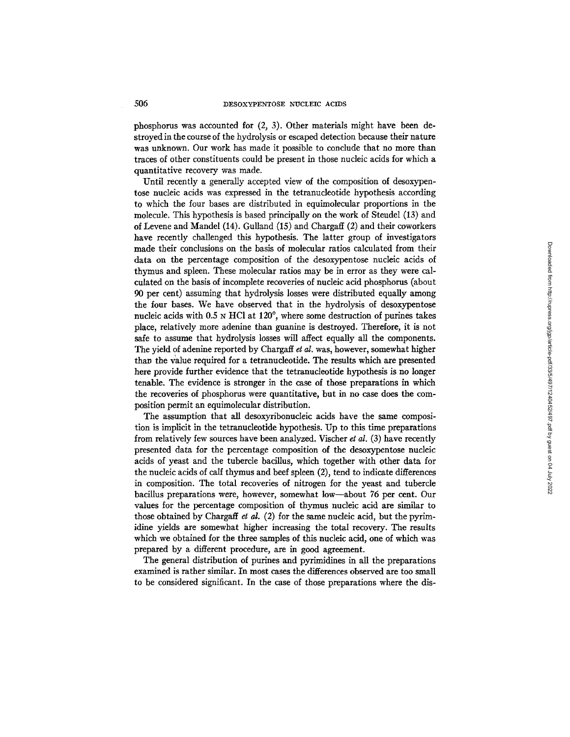phosphorus was accounted for  $(2, 3)$ . Other materials might have been destroyed in the course of the hydrolysis or escaped detection because their nature was unknown. Our work has made it possible to conclude that no more than traces of other constituents could be present in those nucleic acids for which a quantitative recovery was made.

Until recently a generally accepted view of the composition of desoxypentose nucleic acids was expressed in the tetranucleotide hypothesis according to which the four bases are distributed in equimolecular proportions in the molecule. This hypothesis is based principally on the work of Steudel (13) and of Levene and Mandel (14). Gulland (15) and Chargaff (2) and their coworkers have recently challenged this hypothesis. The latter group of investigators made their conclusions on the basis of molecular ratios calculated from their data on the percentage composition of the desoxypentose nucleic acids of thymus and spleen. These molecular ratios may be in error as they were calculated on the basis of incomplete recoveries of nucleic acid phosphorus (about 90 per cent) assuming that hydrolysis losses were distributed equally among the four bases. We have observed that in the hydrolysis of desoxypentose nucleic acids with  $0.5$   $\times$  HCl at 120 $^{\circ}$ , where some destruction of purines takes place, relatively more adenine than guanine is destroyed. Therefore, it is not safe to assume that hydrolysis losses will affect equally all the components. The yield of adenine reported by Chargaff et al. was, however, somewhat higher than the value required for a tetranucleotide. The results which are presented here provide further evidence that the tetranucleotide hypothesis is no longer tenable. The evidence is stronger in the case of those preparations in which the recoveries of phosphorus were quantitative, but in no case does the composition permit an equimolecular distribution.

The assumption that all desoxyribonucleic acids have the same composition is implicit in the tetranucleotide hypothesis. Up to this time preparations from relatively few sources have been analyzed. Vischer *et al.* (3) have recently presented data for the percentage composition of the desoxypentose nucleic acids of yeast and the tubercle bacillus, which together with other data for the nucleic acids of calf thymus and beef spleen (2), tend to indicate differences in composition. The total recoveries of nitrogen for the yeast and tubercle bacillus preparations were, however, somewhat low--about 76 per cent. Our values for the percentage composition of thymus nucleic acid are similar to those obtained by Chargaff *et al.* (2) for the same nucleic acid, but the pyrimidine yields are somewhat higher increasing the total recovery. The results which we obtained for the three samples of this nucleic acid, one of which was prepared by a different procedure, are in good agreement.

The general distribution of purines and pyrimidines in all the preparations examined is rather similar. In most cases the differences observed are too small to be considered significant. In the case of those preparations where the dis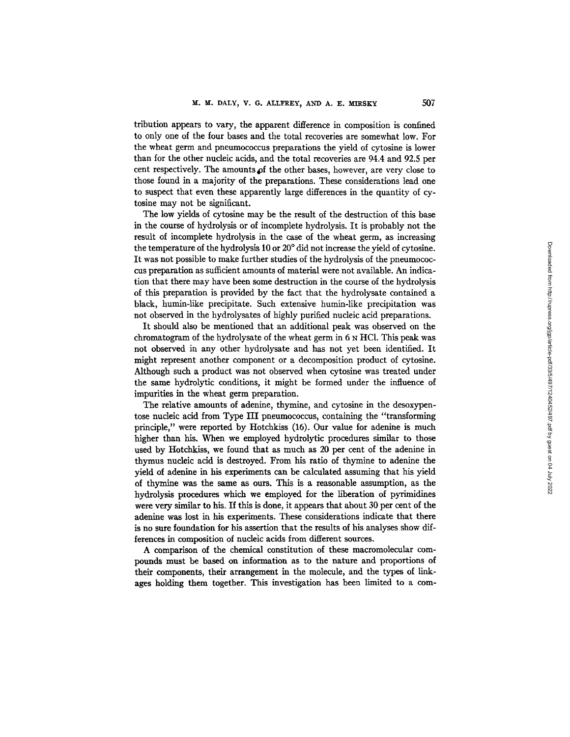tribution appears to vary, the apparent difference in composition is confined to only one of the four bases and the total recoveries are somewhat low. For the wheat germ and pneumococcus preparations the yield of cytosine is lower than for the other nucleic acids, and the total recoveries are 94.4 and 92.5 per cent respectively. The amounts of the other bases, however, are very close to those found in a majority of the preparations. These considerations lead one to suspect that even these apparently large differences in the quantity of cytosine may not be significant.

The low yields of cytosine may be the result of the destruction of this base in the course of hydrolysis or of incomplete hydrolysis. It is probably not the result of incomplete hydrolysis in the case of the wheat germ, as increasing the temperature of the hydrolysis 10 or 20 ° did not increase the yield of cytosine. It was not possible to make further studies of the hydrolysis of the pneumococcus preparation as sufficient amounts of material were not available. An indication that there may have been some destruction in the course of the hydrolysis of this preparation is provided by the fact that the hydrolysate contained a black, humin-like precipitate. Such extensive humin-like precipitation was not observed in the hydrolysates of highly purified nucleic acid preparations.

It should also be mentioned that an additional peak was observed on the chromatogram of the hydrolysate of the wheat germ in 6 N HC1. This peak was not observed in any other hydrolysate and has not yet been identified. It might represent another component or a decomposition product of cytosine. Although such a product was not observed when cytosine was treated under the same hydrolytic conditions, it might be formed under the influence of impurities in the wheat germ preparation.

The relative amounts of adenine, thymine, and cytosine in the desoxypentose nucleic acid from Type III pneumococcus, containing the "transforming principle," were reported by Hotchkiss (16). Our value for adenine is much higher than his. When we employed hydrolytic procedures similar to those used by Hotchkiss, we found that as much as 20 per cent of the adenine in thymus nucleic acid is destroyed. From his ratio of thymine to adenine the yield of adenine in his experiments can be calculated assuming that his yield of thymine was the same as ours. This is a reasonable assumption, as the hydrolysis procedures which we employed for the liberation of pyrimidines were very similar to his. If this is done, it appears that about 30 per cent of the adenine was lost in his experiments. These considerations indicate that there is no sure foundation for his assertion that the results of his analyses show differences in composition of nucleic acids from different sources.

A comparison of the chemical constitution of these macromolecular compounds must be based on information as to the nature and proportions of their components, their arrangement in the molecule, and the types of linkages holding them together. This investigation has been limited to a com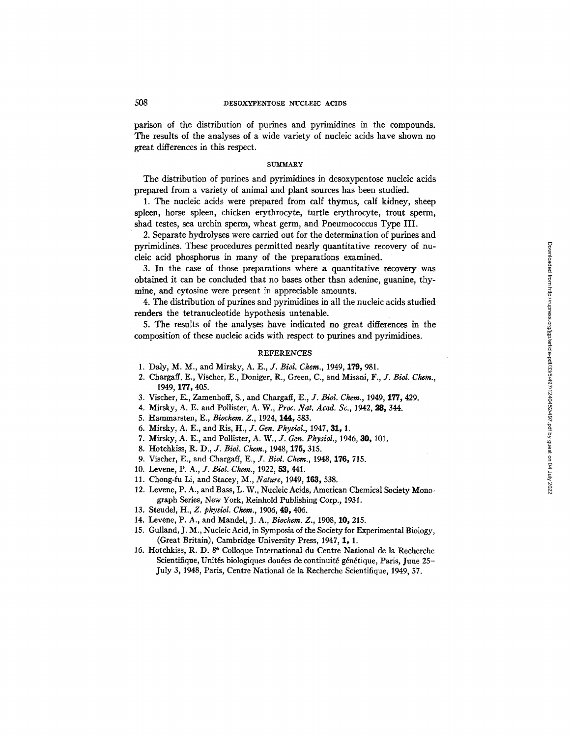parison of the distribution of purines and pyrimidines in the compounds. The results of the analyses of a wide variety of nucleic acids have shown no great differences in this respect.

### SUMMARY

The distribution of purines and pyrimidines in desoxypentose nucleic acids prepared from a variety of animal and plant sources has been studied.

1. The nucleic acids were prepared from calf thymus, calf kidney, sheep spleen, horse spleen, chicken erythrocyte, turtle erythrocyte, trout sperm, shad testes, sea urchin sperm, wheat germ, and Pneumococcus Type III.

2. Separate hydrolyses were carried out for the determination of purines and pyrimidines. These procedures permitted nearly quantitative recovery of nucleic acid phosphorus in many of the preparations examined.

3. In the case of those preparations where a quantitative recovery was obtained it can be concluded that no bases other than adenine, guanine, thymine, and cytosine were present in appreciable amounts.

4. The distribution of purines and pyrimidines in all the nucleic acids studied renders the tetranucleotide hypothesis untenable.

5. The results of the analyses have indicated no great differences in the composition of these nucleic acids with respect to purines and pyrimidines.

### REFERENCES

- 1. Daly, M. M., and Mirsky, *A. E., J. Biol. Chem.,* 1949, 175, 981.
- 2. Chargaff, E., Vischer, E., Doniger, R., Green, C., and Misani, *F., J. Biol. Chem.,*  1949, 177, 405.
- 3. Vischer, E., Zamenhoff, S., and Chargaff, *E., J. Biol. Chem.,* 1949, 177, 429.
- 4. Mirsky, A. E. and Pollister, A. W., *Proc. Nat. Acad. So.,* 1942, 98, 344.
- 5. Hammarsten, E., *Bioehem. Z.,* 1924, 144, 383.
- 6. Mirsky, A. E., and Ris, *H., J. Gen. Physiol.,* 1947, 31, 1.
- 7. Mirsky, A. E., and Pollister, *A. W., J. Gen. Physiol.,* 1946, 30, 101.
- 8. Hotchkiss, R. D., *J. Biol. Chem.*, 1948, 175, 315.
- 9. Vischer, E., and Chargaff, *E., J. Biol. Chem.,* 1948, 176, 715.
- 10. Levene, *P. A., J. Biol. Chem.,* 1922, 53, 441.
- 11. Chong-fu Li, and Stacey, M., *Nature,* 1949, 163, 538.
- 12. Levene, P. A., and Bass, L. W., Nucleic Acids, American Chemical Society Monograph Series, New York, Reinhold Publishing Corp., 1931.
- 13. Steudel, *H., Z. physiol. Chem.,* 1906, **49,** 406.
- 14. Levene, P. A., and Mandel, J. A., *Bioehem. Z.,* 1908, 10, 215.
- 15. Gulland, J. M., Nucleic Acid, in Symposia of the Society for Experimental Biology, (Great Britain), Cambridge University Press, 1947, 1, 1.
- 16. Hotchkiss, R. D. 86 Colloque International du Centre National de la Recherche Scientifique, Unités biologiques douées de continuité génétique, Paris, June 25-July 3, 1948, Paris, Centre National de la Recherche Scientifique, 1949, 57.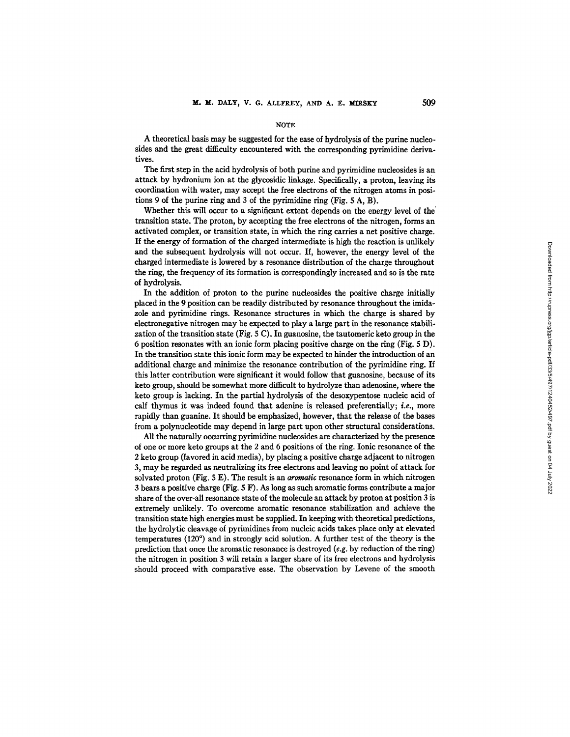#### NOTE

A theoretical basis may be suggested for the ease of hydrolysis of the purine nucleosides and the great difficulty encountered with the corresponding pyrimidine derivatives.

The first step in the acid hydrolysis of both purine and pyrimidine nuclcosides is an attack by hydroninm ion at the glycosidic linkage. Specifically, a proton, leaving its coordination with water, may accept the free electrons of the nitrogen atoms in positions 9 of the purine ring and 3 of the pyrimidine ring (Fig.  $5 \text{ A}$ , B).

Whether this will occur to a significant extent depends on the energy level of the transition state. The proton, by accepting the free electrons of the nitrogen, forms an activated complex, or transition state, in which the ring carries a net positive charge. If the energy of formation of the charged intermediate is high the reaction is unlikely and the subsequent hydrolysis will not occur. If, however, the energy level of the charged intermediate is lowered by a resonance distribution of the charge throughout the ring, the frequency of its formation is correspondingly increased and so is the rate of hydrolysis.

In the addition of proton to the purine nucleosides the positive charge initially placed in the 9 position can be readily distributed by resonance throughout the imidazole and pyrimidine rings. Resonance structures in which the charge is shared by electronegative nitrogen may be expected to play a large part in the resonance stabilization of the transition state (Fig.  $5 \text{ C}$ ). In guanosine, the tautomeric keto group in the 6 position resonates with an ionic form placing positive charge on the ring (Fig. 5 D). In the transition state this ionic form may be expected to hinder the introduction of an additional charge and minimize the resonance contribution of the pyrimidine ring. If this latter contribution were significant it would follow that guanosine, because of its keto group, should be somewhat more difficult to hydrolyze than adenosine, where the keto group is lacking. In the partial hydrolysis of the desoxypentose nucleic acid of calf thymus it was indeed found that adenine is released preferentially; *i.e.,* more rapidly than guanine. It should be emphasized, however, that the release of the bases from a polynudeotide may depend in large part upon other structural considerations.

All the naturally occurring pyrimidine nucleosides are characterized by the presence of one or more keto groups at the 2 and 6 positions of the ring. Ionic resonance of the 2 keto group (favored in acid media), by placing a positive charge adjacent to nitrogen 3, may be regarded as neutralizing its free electrons and leaving no point of attack for solvated proton (Fig. 5 E). The result is an *aromatic* resonance form in which nitrogen 3 bears a positive charge (Fig. 5 F). As long as such aromatic forms contribute a major share of the over-all resonance state of the molecule an attack by proton at position 3 is extremely unlikely. To overcome aromatic resonance stabilization and achieve the transition state high energies must be supplied. In keeping with theoretical predictions, the hydrolytic cleavage of pyrimidines from nucleic acids takes place only at elevated temperatures  $(120^{\circ})$  and in strongly acid solution. A further test of the theory is the prediction that once the aromatic resonance is destroyed (e.g. by reduction of the ring) the nitrogen in position 3 will retain a larger share of its free electrons and hydrolysis should proceed with comparative ease. The observation by Levene of the smooth